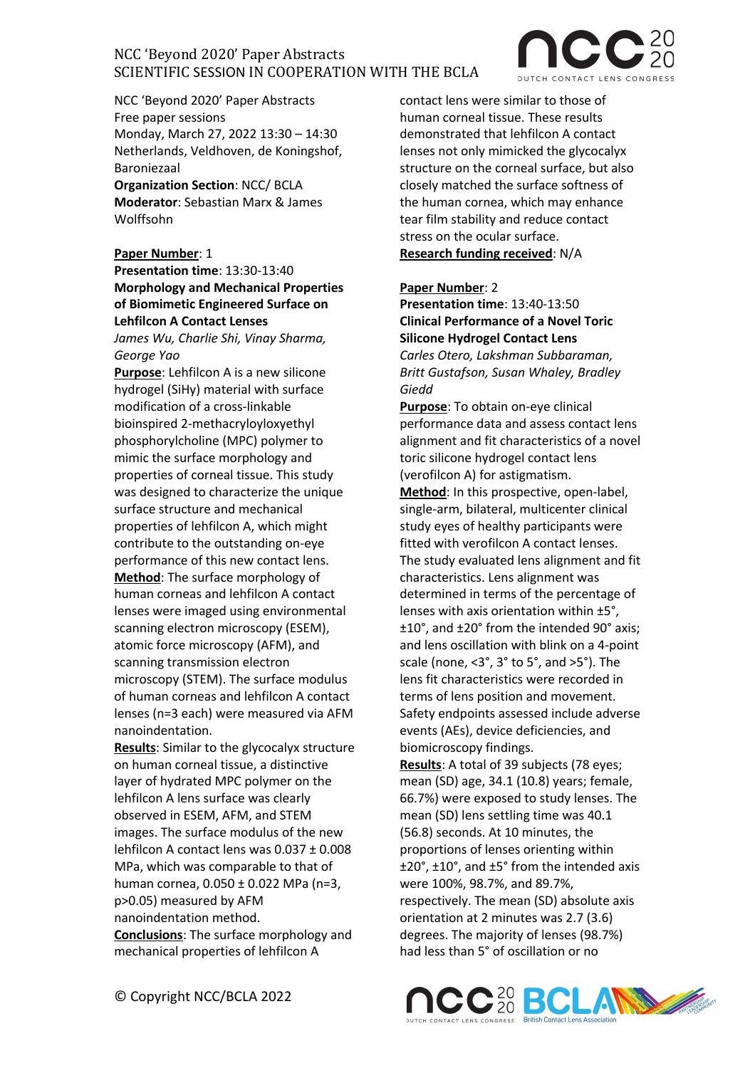

NCC 'Beyond 2020' Paper Abstracts Free paper sessions Monday, March 27, 2022 13:30 – 14:30 Netherlands, Veldhoven, de Koningshof, Baroniezaal

**Organization Section**: NCC/ BCLA **Moderator**: Sebastian Marx & James Wolffsohn

**Paper Number**: 1 **Presentation time**: 13:30-13:40 **Morphology and Mechanical Properties of Biomimetic Engineered Surface on Lehfilcon A Contact Lenses** 

*James Wu, Charlie Shi, Vinay Sharma, George Yao*

**Purpose**: Lehfilcon A is a new silicone hydrogel (SiHy) material with surface modification of a cross-linkable bioinspired 2-methacryloyloxyethyl phosphorylcholine (MPC) polymer to mimic the surface morphology and properties of corneal tissue. This study was designed to characterize the unique surface structure and mechanical properties of lehfilcon A, which might contribute to the outstanding on-eye performance of this new contact lens. **Method**: The surface morphology of human corneas and lehfilcon A contact lenses were imaged using environmental scanning electron microscopy (ESEM), atomic force microscopy (AFM), and scanning transmission electron microscopy (STEM). The surface modulus of human corneas and lehfilcon A contact lenses (n=3 each) were measured via AFM nanoindentation.

**Results**: Similar to the glycocalyx structure on human corneal tissue, a distinctive layer of hydrated MPC polymer on the lehfilcon A lens surface was clearly observed in ESEM, AFM, and STEM images. The surface modulus of the new lehfilcon A contact lens was 0.037 ± 0.008 MPa, which was comparable to that of human cornea, 0.050 ± 0.022 MPa (n=3, p>0.05) measured by AFM nanoindentation method. **Conclusions**: The surface morphology and

mechanical properties of lehfilcon A

contact lens were similar to those of human corneal tissue. These results demonstrated that lehfilcon A contact lenses not only mimicked the glycocalyx structure on the corneal surface, but also closely matched the surface softness of the human cornea, which may enhance tear film stability and reduce contact stress on the ocular surface. **Research funding received**: N/A

### **Paper Number**: 2

**Presentation time**: 13:40-13:50 **Clinical Performance of a Novel Toric Silicone Hydrogel Contact Lens** *Carles Otero, Lakshman Subbaraman, Britt Gustafson, Susan Whaley, Bradley Giedd*

**Purpose**: To obtain on-eye clinical performance data and assess contact lens alignment and fit characteristics of a novel toric silicone hydrogel contact lens (verofilcon A) for astigmatism.

**Method**: In this prospective, open-label, single-arm, bilateral, multicenter clinical study eyes of healthy participants were fitted with verofilcon A contact lenses. The study evaluated lens alignment and fit characteristics. Lens alignment was determined in terms of the percentage of lenses with axis orientation within ±5°, ±10°, and ±20° from the intended 90° axis; and lens oscillation with blink on a 4-point scale (none, <3°, 3° to 5°, and >5°). The lens fit characteristics were recorded in terms of lens position and movement. Safety endpoints assessed include adverse events (AEs), device deficiencies, and biomicroscopy findings.

**Results**: A total of 39 subjects (78 eyes; mean (SD) age, 34.1 (10.8) years; female, 66.7%) were exposed to study lenses. The mean (SD) lens settling time was 40.1 (56.8) seconds. At 10 minutes, the proportions of lenses orienting within ±20°, ±10°, and ±5° from the intended axis were 100%, 98.7%, and 89.7%, respectively. The mean (SD) absolute axis orientation at 2 minutes was 2.7 (3.6) degrees. The majority of lenses (98.7%) had less than 5° of oscillation or no

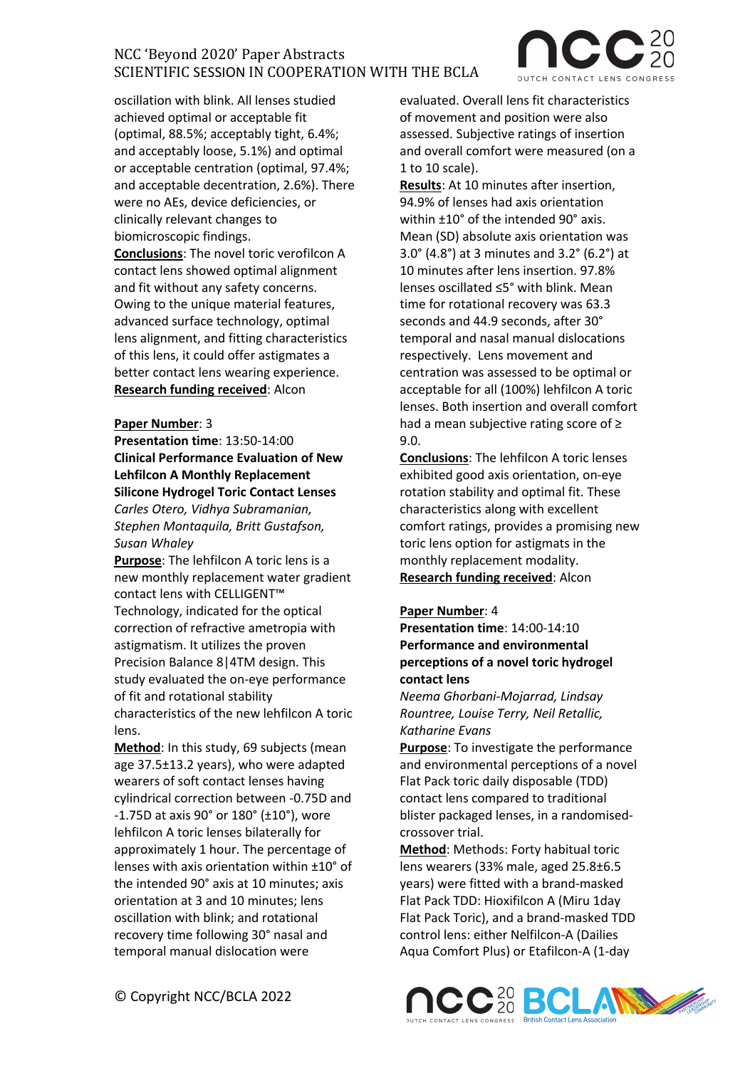oscillation with blink. All lenses studied achieved optimal or acceptable fit (optimal, 88.5%; acceptably tight, 6.4%; and acceptably loose, 5.1%) and optimal or acceptable centration (optimal, 97.4%; and acceptable decentration, 2.6%). There were no AEs, device deficiencies, or clinically relevant changes to biomicroscopic findings. **Conclusions**: The novel toric verofilcon A contact lens showed optimal alignment and fit without any safety concerns. Owing to the unique material features, advanced surface technology, optimal lens alignment, and fitting characteristics of this lens, it could offer astigmates a better contact lens wearing experience. **Research funding received**: Alcon

### **Paper Number**: 3

**Presentation time**: 13:50-14:00 **Clinical Performance Evaluation of New Lehfilcon A Monthly Replacement Silicone Hydrogel Toric Contact Lenses** 

*Carles Otero, Vidhya Subramanian, Stephen Montaquila, Britt Gustafson, Susan Whaley*

**Purpose**: The lehfilcon A toric lens is a new monthly replacement water gradient contact lens with CELLIGENT™ Technology, indicated for the optical correction of refractive ametropia with astigmatism. It utilizes the proven Precision Balance 8|4TM design. This study evaluated the on-eye performance of fit and rotational stability characteristics of the new lehfilcon A toric lens.

**Method**: In this study, 69 subjects (mean age 37.5±13.2 years), who were adapted wearers of soft contact lenses having cylindrical correction between -0.75D and -1.75D at axis 90° or 180° (±10°), wore lehfilcon A toric lenses bilaterally for approximately 1 hour. The percentage of lenses with axis orientation within ±10° of the intended 90° axis at 10 minutes; axis orientation at 3 and 10 minutes; lens oscillation with blink; and rotational recovery time following 30° nasal and temporal manual dislocation were

evaluated. Overall lens fit characteristics of movement and position were also assessed. Subjective ratings of insertion and overall comfort were measured (on a 1 to 10 scale).

**Results**: At 10 minutes after insertion, 94.9% of lenses had axis orientation within ±10° of the intended 90° axis. Mean (SD) absolute axis orientation was 3.0° (4.8°) at 3 minutes and 3.2° (6.2°) at 10 minutes after lens insertion. 97.8% lenses oscillated ≤5° with blink. Mean time for rotational recovery was 63.3 seconds and 44.9 seconds, after 30° temporal and nasal manual dislocations respectively. Lens movement and centration was assessed to be optimal or acceptable for all (100%) lehfilcon A toric lenses. Both insertion and overall comfort had a mean subjective rating score of ≥ 9.0.

**Conclusions**: The lehfilcon A toric lenses exhibited good axis orientation, on-eye rotation stability and optimal fit. These characteristics along with excellent comfort ratings, provides a promising new toric lens option for astigmats in the monthly replacement modality. **Research funding received**: Alcon

### **Paper Number**: 4

**Presentation time**: 14:00-14:10 **Performance and environmental perceptions of a novel toric hydrogel contact lens**

*Neema Ghorbani-Mojarrad, Lindsay Rountree, Louise Terry, Neil Retallic, Katharine Evans*

**Purpose**: To investigate the performance and environmental perceptions of a novel Flat Pack toric daily disposable (TDD) contact lens compared to traditional blister packaged lenses, in a randomisedcrossover trial.

**Method**: Methods: Forty habitual toric lens wearers (33% male, aged 25.8±6.5 years) were fitted with a brand-masked Flat Pack TDD: Hioxifilcon A (Miru 1day Flat Pack Toric), and a brand-masked TDD control lens: either Nelfilcon-A (Dailies Aqua Comfort Plus) or Etafilcon-A (1-day



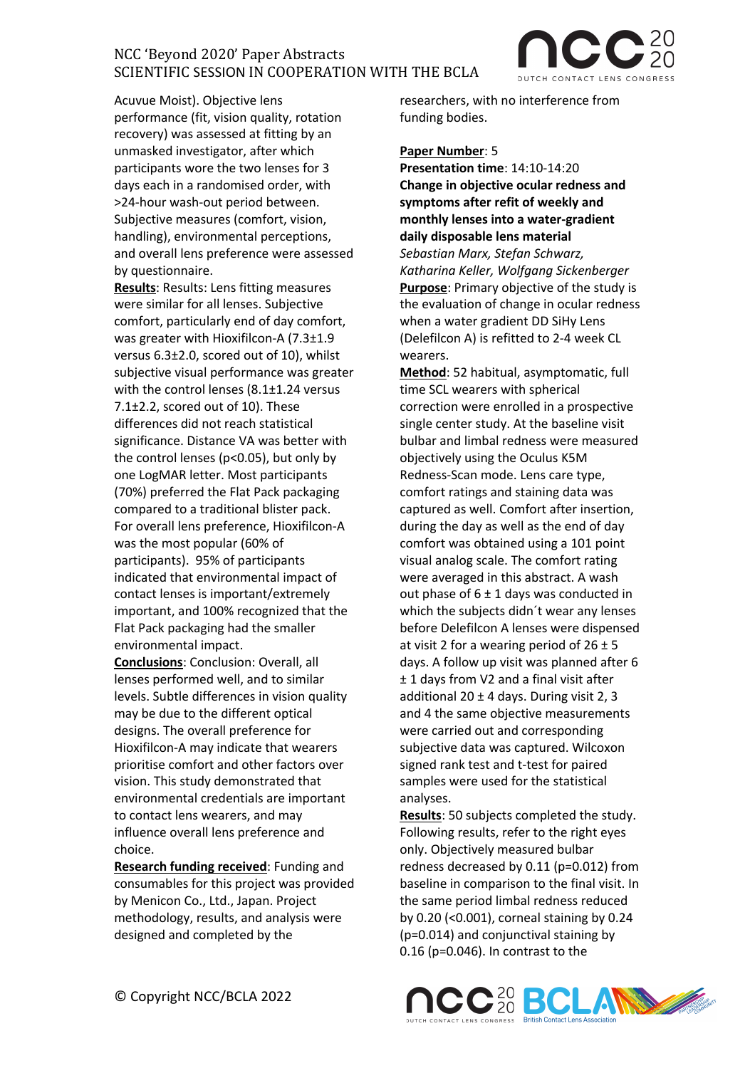

Acuvue Moist). Objective lens performance (fit, vision quality, rotation recovery) was assessed at fitting by an unmasked investigator, after which participants wore the two lenses for 3 days each in a randomised order, with >24-hour wash-out period between. Subjective measures (comfort, vision, handling), environmental perceptions, and overall lens preference were assessed by questionnaire.

**Results**: Results: Lens fitting measures were similar for all lenses. Subjective comfort, particularly end of day comfort, was greater with Hioxifilcon-A (7.3±1.9 versus 6.3±2.0, scored out of 10), whilst subjective visual performance was greater with the control lenses (8.1±1.24 versus 7.1±2.2, scored out of 10). These differences did not reach statistical significance. Distance VA was better with the control lenses (p<0.05), but only by one LogMAR letter. Most participants (70%) preferred the Flat Pack packaging compared to a traditional blister pack. For overall lens preference, Hioxifilcon-A was the most popular (60% of participants). 95% of participants indicated that environmental impact of contact lenses is important/extremely important, and 100% recognized that the Flat Pack packaging had the smaller environmental impact.

**Conclusions**: Conclusion: Overall, all lenses performed well, and to similar levels. Subtle differences in vision quality may be due to the different optical designs. The overall preference for Hioxifilcon-A may indicate that wearers prioritise comfort and other factors over vision. This study demonstrated that environmental credentials are important to contact lens wearers, and may influence overall lens preference and choice.

**Research funding received**: Funding and consumables for this project was provided by Menicon Co., Ltd., Japan. Project methodology, results, and analysis were designed and completed by the

researchers, with no interference from funding bodies.

#### **Paper Number**: 5

**Presentation time**: 14:10-14:20 **Change in objective ocular redness and symptoms after refit of weekly and monthly lenses into a water-gradient daily disposable lens material**  *Sebastian Marx, Stefan Schwarz, Katharina Keller, Wolfgang Sickenberger* **Purpose**: Primary objective of the study is the evaluation of change in ocular redness when a water gradient DD SiHy Lens (Delefilcon A) is refitted to 2-4 week CL wearers.

**Method**: 52 habitual, asymptomatic, full time SCL wearers with spherical correction were enrolled in a prospective single center study. At the baseline visit bulbar and limbal redness were measured objectively using the Oculus K5M Redness-Scan mode. Lens care type, comfort ratings and staining data was captured as well. Comfort after insertion, during the day as well as the end of day comfort was obtained using a 101 point visual analog scale. The comfort rating were averaged in this abstract. A wash out phase of  $6 \pm 1$  days was conducted in which the subjects didn´t wear any lenses before Delefilcon A lenses were dispensed at visit 2 for a wearing period of  $26 \pm 5$ days. A follow up visit was planned after 6 ± 1 days from V2 and a final visit after additional 20  $\pm$  4 days. During visit 2, 3 and 4 the same objective measurements were carried out and corresponding subjective data was captured. Wilcoxon signed rank test and t-test for paired samples were used for the statistical analyses.

**Results**: 50 subjects completed the study. Following results, refer to the right eyes only. Objectively measured bulbar redness decreased by 0.11 (p=0.012) from baseline in comparison to the final visit. In the same period limbal redness reduced by 0.20 (<0.001), corneal staining by 0.24 (p=0.014) and conjunctival staining by 0.16 (p=0.046). In contrast to the